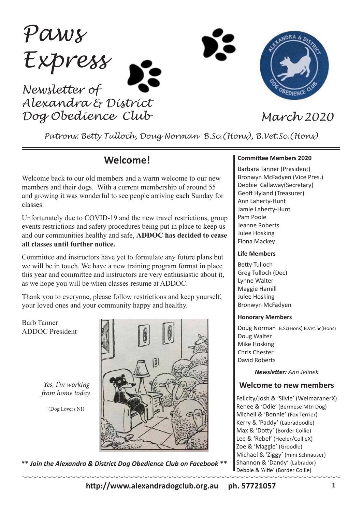*Paws Express Newsletter of*

*Alexandra & District Dog Obedience Club March 2020*



*Patrons: Betty Tulloch, Doug Norman B.Sc.(Hons), B.Vet.Sc.(Hons)*

# **Welcome!**

Welcome back to our old members and a warm welcome to our new members and their dogs. With a current membership of around 55 and growing it was wonderful to see people arriving each Sunday for classes.

Unfortunately due to COVID-19 and the new travel restrictions, group events restrictions and safety procedures being put in place to keep us and our communities healthy and safe, **ADDOC has decided to cease all classes until further notice.**

Committee and instructors have yet to formulate any future plans but we will be in touch. We have a new training program format in place this year and committee and instructors are very enthusiastic about it, as we hope you will be when classes resume at ADDOC.

Thank you to everyone, please follow restrictions and keep yourself, your loved ones and your community happy and healthy.

Barb Tanner ADDOC President

> *Yes, I'm working from home today.*

> > (Dog Lovers NI)



**\*\*** *Join the Alexandra & District Dog Obedience Club on Facebook* **\*\***

#### **Committee Members 2020**

Barbara Tanner (President) Bronwyn McFadyen (Vice Pres.) Debbie Callaway(Secretary) Geoff Hyland (Treasurer) Ann Laherty-Hunt Jamie Laherty-Hunt Pam Poole Jeanne Roberts Julee Hosking Fiona Mackey

#### **Life Members**

Betty Tulloch Greg Tulloch (Dec) Lynne Walter Maggie Hamill Julee Hosking Bronwyn McFadyen

#### **Honorary Members**

Doug Norman B.Sc(Hons) B.Vet.Sc(Hons) Doug Walter Mike Hosking Chris Chester David Roberts

*Newsletter: Ann Jelinek*

#### **Welcome to new members**

Felicity/Josh & 'Silvie' (WeimaranerX) Renee & 'Odie' (Bermese Mtn Dog) Michell & 'Bonnie' (Fox Terrier) Kerry & 'Paddy' (Labradoodle) Max & 'Dotty' (Border Collie) Lee & 'Rebel' (Heeler/CollieX) Zoe & 'Maggie' (Groodle) Michael & 'Ziggy' (mini Schnauser) Shannon & 'Dandy' (Labrador) Debbie & 'Alfie' (Border Collie)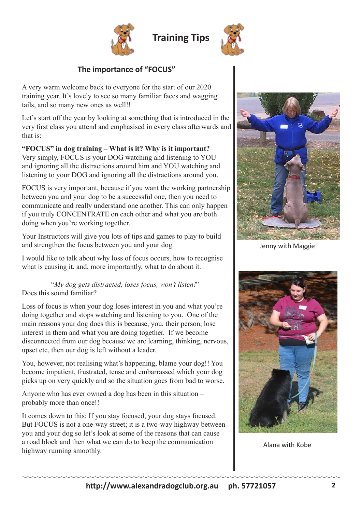

**Training Tips**



# **The importance of "FOCUS"**

A very warm welcome back to everyone for the start of our 2020 training year. It's lovely to see so many familiar faces and wagging tails, and so many new ones as well!!

Let's start off the year by looking at something that is introduced in the very first class you attend and emphasised in every class afterwards and that is:

#### **"FOCUS" in dog training – What is it? Why is it important?** Very simply, FOCUS is your DOG watching and listening to YOU and ignoring all the distractions around him and YOU watching and listening to your DOG and ignoring all the distractions around you.

FOCUS is very important, because if you want the working partnership between you and your dog to be a successful one, then you need to communicate and really understand one another. This can only happen if you truly CONCENTRATE on each other and what you are both doing when you're working together.

Your Instructors will give you lots of tips and games to play to build and strengthen the focus between you and your dog.

I would like to talk about why loss of focus occurs, how to recognise what is causing it, and, more importantly, what to do about it.

### "*My dog gets distracted, loses focus, won't listen!*" Does this sound familiar?

Loss of focus is when your dog loses interest in you and what you're doing together and stops watching and listening to you. One of the main reasons your dog does this is because, you, their person, lose interest in them and what you are doing together. If we become disconnected from our dog because we are learning, thinking, nervous, upset etc, then our dog is left without a leader.

You, however, not realising what's happening, blame your dog!! You become impatient, frustrated, tense and embarrassed which your dog picks up on very quickly and so the situation goes from bad to worse.

Anyone who has ever owned a dog has been in this situation – probably more than once!!

It comes down to this: If you stay focused, your dog stays focused. But FOCUS is not a one-way street; it is a two-way highway between you and your dog so let's look at some of the reasons that can cause a road block and then what we can do to keep the communication highway running smoothly.



Jenny with Maggie



Alana with Kobe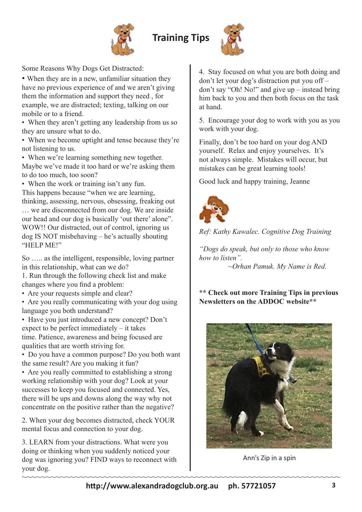



Some Reasons Why Dogs Get Distracted:

• When they are in a new, unfamiliar situation they have no previous experience of and we aren't giving them the information and support they need , for example, we are distracted; texting, talking on our mobile or to a friend.

• When they aren't getting any leadership from us so they are unsure what to do.

• When we become uptight and tense because they're not listening to us.

• When we're learning something new together. Maybe we've made it too hard or we're asking them to do too much, too soon?

• When the work or training isn't any fun. This happens because "when we are learning, thinking, assessing, nervous, obsessing, freaking out … we are disconnected from our dog. We are inside our head and our dog is basically 'out there' alone". WOW!! Our distracted, out of control, ignoring us dog IS NOT misbehaving – he's actually shouting "HELP ME!"

So ….. as the intelligent, responsible, loving partner in this relationship, what can we do?

1. Run through the following check list and make changes where you find a problem:

• Are your requests simple and clear?

• Are you really communicating with your dog using language you both understand?

• Have you just introduced a new concept? Don't expect to be perfect immediately – it takes time. Patience, awareness and being focused are qualities that are worth striving for.

• Do you have a common purpose? Do you both want the same result? Are you making it fun?

• Are you really committed to establishing a strong working relationship with your dog? Look at your successes to keep you focused and connected. Yes, there will be ups and downs along the way why not concentrate on the positive rather than the negative?

2. When your dog becomes distracted, check YOUR mental focus and connection to your dog.

3. LEARN from your distractions. What were you doing or thinking when you suddenly noticed your dog was ignoring you? FIND ways to reconnect with your dog.

4. Stay focused on what you are both doing and don't let your dog's distraction put you off – don't say "Oh! No!" and give up – instead bring him back to you and then both focus on the task at hand.

5. Encourage your dog to work with you as you work with your dog.

Finally, don't be too hard on your dog AND yourself. Relax and enjoy yourselves. It's not always simple. Mistakes will occur, but mistakes can be great learning tools!

Good luck and happy training, Jeanne



*Ref: Kathy Kawalec. Cognitive Dog Training*

*"Dogs do speak, but only to those who know how to listen". ~Orhan Pamuk. My Name is Red.*

### **\*\* Check out more Training Tips in previous Newsletters on the ADDOC website\*\***



Ann's Zip in a spin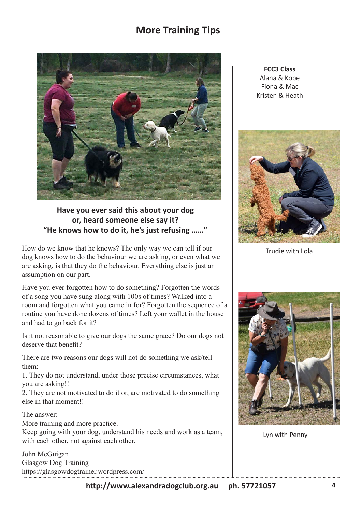# **More Training Tips**



## **Have you ever said this about your dog or, heard someone else say it? "He knows how to do it, he's just refusing ……"**

How do we know that he knows? The only way we can tell if our dog knows how to do the behaviour we are asking, or even what we are asking, is that they do the behaviour. Everything else is just an assumption on our part.

Have you ever forgotten how to do something? Forgotten the words of a song you have sung along with 100s of times? Walked into a room and forgotten what you came in for? Forgotten the sequence of a routine you have done dozens of times? Left your wallet in the house and had to go back for it?

Is it not reasonable to give our dogs the same grace? Do our dogs not deserve that benefit?

There are two reasons our dogs will not do something we ask/tell them:

1. They do not understand, under those precise circumstances, what you are asking!!

2. They are not motivated to do it or, are motivated to do something else in that moment!!

The answer:

More training and more practice.

Keep going with your dog, understand his needs and work as a team, with each other, not against each other.

John McGuigan Glasgow Dog Training https://glasgowdogtrainer.wordpress.com/

**FCC3 Class** Alana & Kobe Fiona & Mac Kristen & Heath



Trudie with Lola



Lyn with Penny